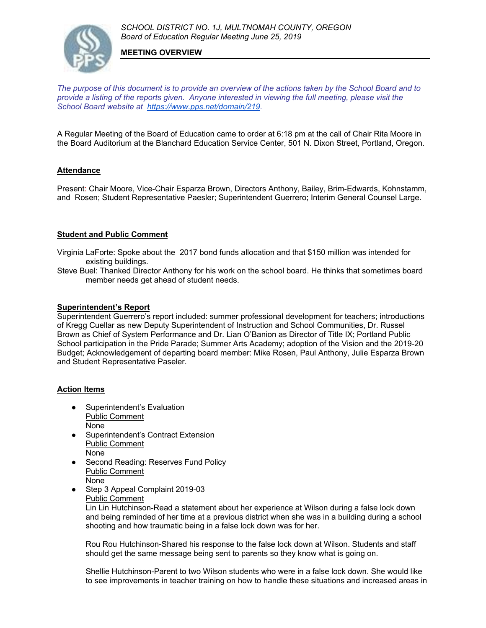

**MEETING OVERVIEW**

*The purpose of this document is to provide an overview of the actions taken by the School Board and to provide a listing of the reports given. Anyone interested in viewing the full meeting, please visit the School Board website at [https://www.pps.net/domain/219.](https://www.pps.net/domain/219)*

A Regular Meeting of the Board of Education came to order at 6:18 pm at the call of Chair Rita Moore in the Board Auditorium at the Blanchard Education Service Center, 501 N. Dixon Street, Portland, Oregon.

# **Attendance**

Present: Chair Moore, Vice-Chair Esparza Brown, Directors Anthony, Bailey, Brim-Edwards, Kohnstamm, and Rosen; Student Representative Paesler; Superintendent Guerrero; Interim General Counsel Large.

## **Student and Public Comment**

Virginia LaForte: Spoke about the 2017 bond funds allocation and that \$150 million was intended for existing buildings.

Steve Buel: Thanked Director Anthony for his work on the school board. He thinks that sometimes board member needs get ahead of student needs.

## **Superintendent's Report**

Superintendent Guerrero's report included: summer professional development for teachers; introductions of Kregg Cuellar as new Deputy Superintendent of Instruction and School Communities, Dr. Russel Brown as Chief of System Performance and Dr. Lian O'Banion as Director of Title IX; Portland Public School participation in the Pride Parade; Summer Arts Academy; adoption of the Vision and the 2019-20 Budget; Acknowledgement of departing board member: Mike Rosen, Paul Anthony, Julie Esparza Brown and Student Representative Paseler.

# **Action Items**

- Superintendent's Evaluation Public Comment None
- Superintendent's Contract Extension Public Comment None
- Second Reading: Reserves Fund Policy Public Comment None
- Step 3 Appeal Complaint 2019-03 Public Comment

Lin Lin Hutchinson-Read a statement about her experience at Wilson during a false lock down and being reminded of her time at a previous district when she was in a building during a school shooting and how traumatic being in a false lock down was for her.

Rou Rou Hutchinson-Shared his response to the false lock down at Wilson. Students and staff should get the same message being sent to parents so they know what is going on.

Shellie Hutchinson-Parent to two Wilson students who were in a false lock down. She would like to see improvements in teacher training on how to handle these situations and increased areas in